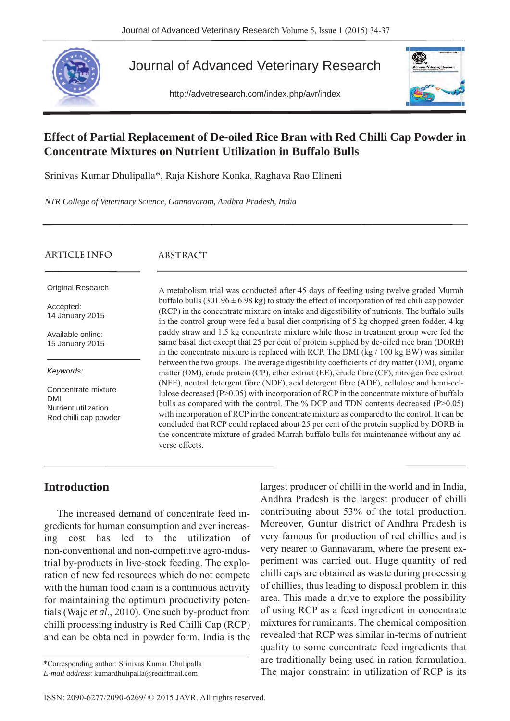

Journal of Advanced Veterinary Research

http://advetresearch.com/index.php/avr/index



# **Effect of Partial Replacement of De-oiled Rice Bran with Red Chilli Cap Powder in Concentrate Mixtures on Nutrient Utilization in Buffalo Bulls**

Srinivas Kumar Dhulipalla\*, Raja Kishore Konka, Raghava Rao Elineni

*NTR College of Veterinary Science, Gannavaram, Andhra Pradesh, India*

| ARTICLE INFO                                                                       | ABSTRACT                                                                                                                                                                                                                                                                                                                                                                                                                                                                                                                                                                          |
|------------------------------------------------------------------------------------|-----------------------------------------------------------------------------------------------------------------------------------------------------------------------------------------------------------------------------------------------------------------------------------------------------------------------------------------------------------------------------------------------------------------------------------------------------------------------------------------------------------------------------------------------------------------------------------|
| Original Research                                                                  | A metabolism trial was conducted after 45 days of feeding using twelve graded Murrah                                                                                                                                                                                                                                                                                                                                                                                                                                                                                              |
| Accepted:<br>14 January 2015                                                       | buffalo bulls $(301.96 \pm 6.98 \text{ kg})$ to study the effect of incorporation of red chili cap powder<br>(RCP) in the concentrate mixture on intake and digestibility of nutrients. The buffalo bulls<br>in the control group were fed a basal diet comprising of 5 kg chopped green fodder, 4 kg                                                                                                                                                                                                                                                                             |
| Available online:<br>15 January 2015                                               | paddy straw and 1.5 kg concentrate mixture while those in treatment group were fed the<br>same basal diet except that 25 per cent of protein supplied by de-oiled rice bran (DORB)<br>in the concentrate mixture is replaced with RCP. The DMI (kg $/ 100$ kg BW) was similar                                                                                                                                                                                                                                                                                                     |
| Keywords:                                                                          | between the two groups. The average digestibility coefficients of dry matter (DM), organic<br>matter (OM), crude protein (CP), ether extract (EE), crude fibre (CF), nitrogen free extract                                                                                                                                                                                                                                                                                                                                                                                        |
| Concentrate mixture<br><b>DMI</b><br>Nutrient utilization<br>Red chilli cap powder | (NFE), neutral detergent fibre (NDF), acid detergent fibre (ADF), cellulose and hemi-cel-<br>lulose decreased $(P>0.05)$ with incorporation of RCP in the concentrate mixture of buffalo<br>bulls as compared with the control. The % DCP and TDN contents decreased (P>0.05)<br>with incorporation of RCP in the concentrate mixture as compared to the control. It can be<br>concluded that RCP could replaced about 25 per cent of the protein supplied by DORB in<br>the concentrate mixture of graded Murrah buffalo bulls for maintenance without any ad-<br>verse effects. |

### **Introduction**

The increased demand of concentrate feed ingredients for human consumption and ever increasing cost has led to the utilization of non-conventional and non-competitive agro-industrial by-products in live-stock feeding. The exploration of new fed resources which do not compete with the human food chain is a continuous activity for maintaining the optimum productivity potentials (Waje *et al*., 2010). One such by-product from chilli processing industry is Red Chilli Cap (RCP) and can be obtained in powder form. India is the

largest producer of chilli in the world and in India, Andhra Pradesh is the largest producer of chilli contributing about 53% of the total production. Moreover, Guntur district of Andhra Pradesh is very famous for production of red chillies and is very nearer to Gannavaram, where the present experiment was carried out. Huge quantity of red chilli caps are obtained as waste during processing of chillies, thus leading to disposal problem in this area. This made a drive to explore the possibility of using RCP as a feed ingredient in concentrate mixtures for ruminants. The chemical composition revealed that RCP was similar in-terms of nutrient quality to some concentrate feed ingredients that are traditionally being used in ration formulation. \*Corresponding author: Srinivas Kumar Dhulipalla and the major constraint in utilization of RCP is its \*Corresponding author: Srinivas Kumar Dhulipalla and the major constraint in utilization of RCP is its \*Corresponding t

*E-mail address*: kumardhulipalla@rediffmail.com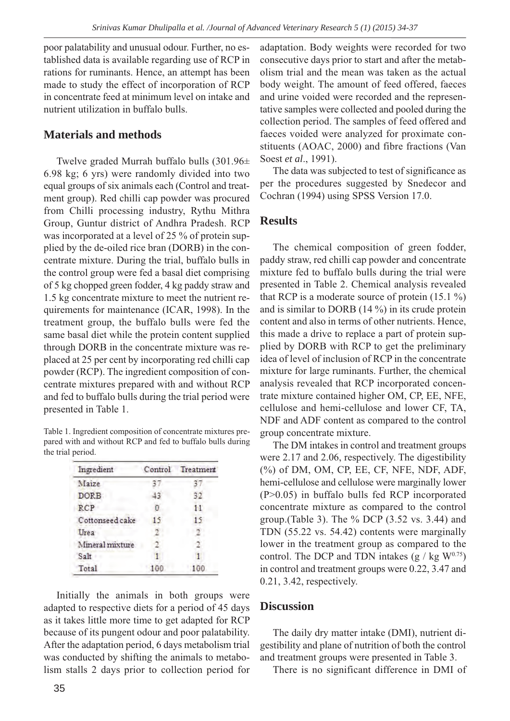poor palatability and unusual odour. Further, no established data is available regarding use of RCP in rations for ruminants. Hence, an attempt has been made to study the effect of incorporation of RCP in concentrate feed at minimum level on intake and nutrient utilization in buffalo bulls.

#### **Materials and methods**

Twelve graded Murrah buffalo bulls (301.96± 6.98 kg; 6 yrs) were randomly divided into two equal groups of six animals each (Control and treatment group). Red chilli cap powder was procured from Chilli processing industry, Rythu Mithra Group, Guntur district of Andhra Pradesh. RCP was incorporated at a level of 25 % of protein supplied by the de-oiled rice bran (DORB) in the concentrate mixture. During the trial, buffalo bulls in the control group were fed a basal diet comprising of 5 kg chopped green fodder, 4 kg paddy straw and 1.5 kg concentrate mixture to meet the nutrient requirements for maintenance (ICAR, 1998). In the treatment group, the buffalo bulls were fed the same basal diet while the protein content supplied through DORB in the concentrate mixture was replaced at 25 per cent by incorporating red chilli cap powder (RCP). The ingredient composition of concentrate mixtures prepared with and without RCP and fed to buffalo bulls during the trial period were presented in Table 1.

Table 1. Ingredient composition of concentrate mixtures prepared with and without RCP and fed to buffalo bulls during the trial period.

| Ingredient      | Control | Treatment |
|-----------------|---------|-----------|
| Maize           |         |           |
| <b>DORB</b>     | 13      | 32        |
| RCP             |         | 11        |
| Cottonseed cake | 15      | 15        |
| Urea            |         |           |
| Mineral mixture |         |           |
| Salt            |         |           |
| Total           | 100     | 100       |

Initially the animals in both groups were adapted to respective diets for a period of 45 days as it takes little more time to get adapted for RCP because of its pungent odour and poor palatability. After the adaptation period, 6 days metabolism trial was conducted by shifting the animals to metabolism stalls 2 days prior to collection period for

adaptation. Body weights were recorded for two consecutive days prior to start and after the metabolism trial and the mean was taken as the actual body weight. The amount of feed offered, faeces and urine voided were recorded and the representative samples were collected and pooled during the collection period. The samples of feed offered and faeces voided were analyzed for proximate constituents (AOAC, 2000) and fibre fractions (Van Soest *et al*., 1991).

The data was subjected to test of significance as per the procedures suggested by Snedecor and Cochran (1994) using SPSS Version 17.0.

#### **Results**

The chemical composition of green fodder, paddy straw, red chilli cap powder and concentrate mixture fed to buffalo bulls during the trial were presented in Table 2. Chemical analysis revealed that RCP is a moderate source of protein  $(15.1 \%)$ and is similar to DORB (14 %) in its crude protein content and also in terms of other nutrients. Hence, this made a drive to replace a part of protein supplied by DORB with RCP to get the preliminary idea of level of inclusion of RCP in the concentrate mixture for large ruminants. Further, the chemical analysis revealed that RCP incorporated concentrate mixture contained higher OM, CP, EE, NFE, cellulose and hemi-cellulose and lower CF, TA, NDF and ADF content as compared to the control group concentrate mixture.

The DM intakes in control and treatment groups were 2.17 and 2.06, respectively. The digestibility (%) of DM, OM, CP, EE, CF, NFE, NDF, ADF, hemi-cellulose and cellulose were marginally lower (P>0.05) in buffalo bulls fed RCP incorporated concentrate mixture as compared to the control group.(Table 3). The % DCP (3.52 vs. 3.44) and TDN (55.22 vs. 54.42) contents were marginally lower in the treatment group as compared to the control. The DCP and TDN intakes  $(g / kg W^{0.75})$ in control and treatment groups were 0.22, 3.47 and 0.21, 3.42, respectively.

#### **Discussion**

The daily dry matter intake (DMI), nutrient digestibility and plane of nutrition of both the control and treatment groups were presented in Table 3.

There is no significant difference in DMI of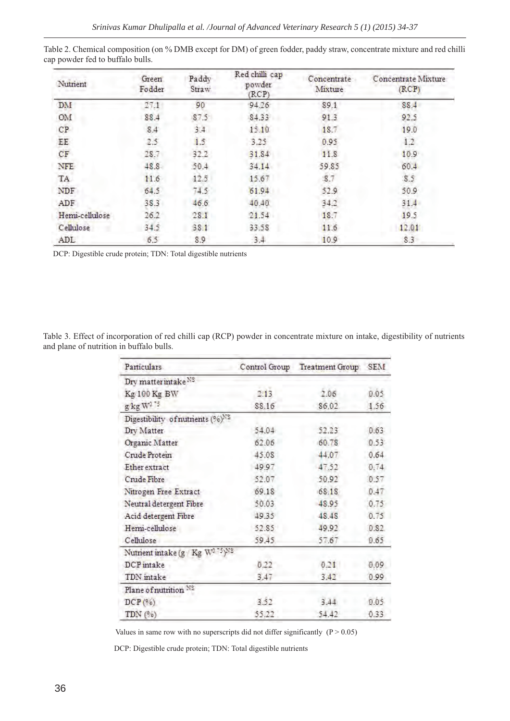| Nutrient       | Green<br>Fodder | Paddy<br>Straw | Red chilli cap<br>powder<br>(RCP) | Concentrate<br>Mixture | Concentrate Mixture<br>(RCP) |
|----------------|-----------------|----------------|-----------------------------------|------------------------|------------------------------|
| DM             | 17.1            | 90             | 94.26                             | 89.1                   | 88.4                         |
| OM             | 88.4            | 87.5           | 84.33                             | 91.3                   | 92.5                         |
| CP             | 8.4             | 3.4            | 15.10                             | 18.7                   | 19.0                         |
| EE             | 2.5             | 1.5            | 3.25                              | 0.95                   | 1.2                          |
| CF             | 28.7            | 32.2           | 31.84                             | 11.8                   | 10.9                         |
| NFE            | 48.8            | 50.4           | 34.14                             | 59.85                  | 60.4                         |
| TA             | 11.6            | 12.5           | 15.67                             | 8.7                    | 8.5                          |
| NDF            | 64.5            | 74.5           | 61.94                             | 52.9                   | 50.9                         |
| ADF            | 38.3            | 46.6           | 40.40                             | 34.2                   | 31.4                         |
| Hemi-cellulose | 26.2            | 28.1           | 21.54                             | 18.7                   | 19.5                         |
| Cellulose      | 34.5            | 38.1           | 33.58                             | 11.6                   | 12.01                        |
| ADL            | 6.5             | 8.9            | 3.4                               | 10.9                   | 8.3                          |

Table 2. Chemical composition (on % DMB except for DM) of green fodder, paddy straw, concentrate mixture and red chilli cap powder fed to buffalo bulls.

DCP: Digestible crude protein; TDN: Total digestible nutrients

Table 3. Effect of incorporation of red chilli cap (RCP) powder in concentrate mixture on intake, digestibility of nutrients and plane of nutrition in buffalo bulls.

| Particulars                                  | Control Group | <b>Treatment Group</b> | SEM   |
|----------------------------------------------|---------------|------------------------|-------|
| Dry matter intake NS                         |               |                        |       |
| Kg 100 Kg BW                                 | 2.13          | 2.06                   | 0.05  |
| g kg W <sup>375</sup>                        | 88.16         | 86.02                  | 1.56  |
| Digestibility of nutrients (%) <sup>NS</sup> |               |                        |       |
| Dry Matter                                   | 54.04         | 52.23                  | 0.63  |
| Organic Matter                               | 62.06         | 60.78                  | 0.53  |
| Crude Protein                                | 45.08         | 44.07                  | 0.64  |
| <b>Etherextract</b>                          | 49.97         | 47.52                  | 0.74  |
| Crude Fibre                                  | 52.07         | 50.92                  | 0.57  |
| Nitrogen Free Extract                        | 69.18         | 68.18                  | 0.47  |
| Neutral detergent Fibre                      | 50.03         | 48.95                  | 0.75  |
| Acid detergent Fibre                         | 49.35         | 48.48                  | 0.75  |
| Hemi-cellulose                               | 52.85         | 49.92                  | 0.82. |
| Cellulose                                    | 59.45         | 57.67                  | 0.65  |
| Nutrient intake (g) Kg W <sup>0.75</sup> )NS |               |                        |       |
| DCP intake                                   | 0.22          | 0.21                   | 0.09  |
| TDN intake                                   | 3,47          | 3.42                   | 0.99  |
| Plane of nutrition NS                        |               |                        |       |
| DCP(° <sub>0</sub> )                         | 3.52          | 3.44                   | 0.05  |
| TDN(° <sub>0</sub> )                         | 55.22         | 54.42                  | 0.33  |

Values in same row with no superscripts did not differ significantly  $(P > 0.05)$ 

DCP: Digestible crude protein; TDN: Total digestible nutrients